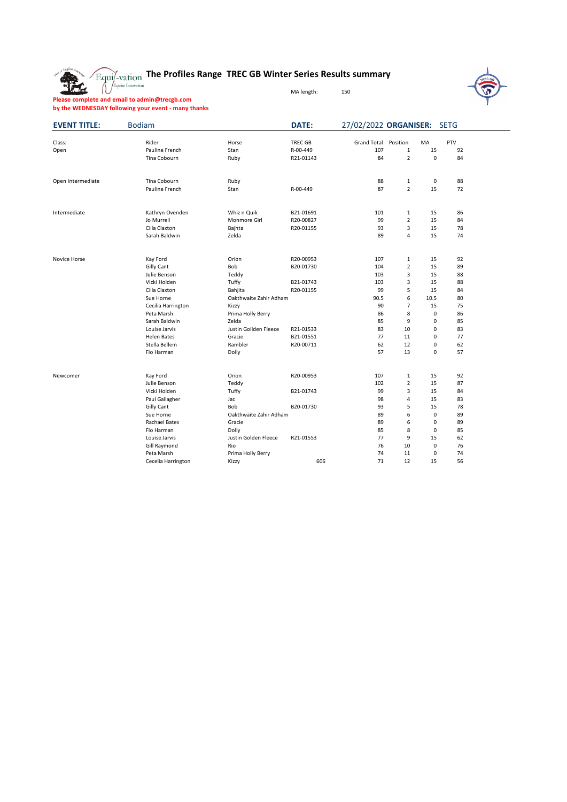The

#### **The Profiles Range TREC GB Winter Series Results summary**

MA length: 150



**Please complete and email to admin@trecgb.com by the WEDNESDAY following your event - many thanks**

| <b>EVENT TITLE:</b> | <b>Bodiam</b>      |                        | <b>DATE:</b>   | 27/02/2022 ORGANISER: SETG |                |             |     |  |
|---------------------|--------------------|------------------------|----------------|----------------------------|----------------|-------------|-----|--|
| Class:              | Rider              | Horse                  | <b>TREC GB</b> | <b>Grand Total</b>         | Position       | MA          | PTV |  |
| Open                | Pauline French     | Stan                   | R-00-449       | 107                        | $\,1\,$        | 15          | 92  |  |
|                     | Tina Cobourn       | Ruby                   | R21-01143      | 84                         | $\overline{2}$ | $\pmb{0}$   | 84  |  |
|                     |                    |                        |                |                            |                |             |     |  |
| Open Intermediate   | Tina Cobourn       | Ruby                   |                | 88                         | $\mathbf 1$    | $\pmb{0}$   | 88  |  |
|                     | Pauline French     | Stan                   | R-00-449       | 87                         | $\overline{2}$ | 15          | 72  |  |
| Intermediate        | Kathryn Ovenden    | Whiz n Quik            | B21-01691      | 101                        | $1\,$          | 15          | 86  |  |
|                     | Jo Murrell         | Monmore Girl           | R20-00827      | 99                         | $\overline{2}$ | 15          | 84  |  |
|                     | Cilla Claxton      | Bajhta                 | R20-01155      | 93                         | 3              | 15          | 78  |  |
|                     | Sarah Baldwin      | Zelda                  |                | 89                         | $\overline{4}$ | 15          | 74  |  |
|                     |                    |                        |                |                            |                |             |     |  |
| Novice Horse        | Kay Ford           | Orion                  | R20-00953      | 107                        | $\mathbf{1}$   | 15          | 92  |  |
|                     | Gilly Cant         | Bob                    | B20-01730      | 104                        | $\overline{2}$ | 15          | 89  |  |
|                     | Julie Benson       | Teddy                  |                | 103                        | 3              | 15          | 88  |  |
|                     | Vicki Holden       | Tuffy                  | B21-01743      | 103                        | 3              | 15          | 88  |  |
|                     | Cilla Claxton      | Bahjita                | R20-01155      | 99                         | 5              | 15          | 84  |  |
|                     | Sue Horne          | Oakthwaite Zahir Adham |                | 90.5                       | 6              | 10.5        | 80  |  |
|                     | Cecilia Harrington | Kizzy                  |                | 90                         | $\overline{7}$ | 15          | 75  |  |
|                     | Peta Marsh         | Prima Holly Berry      |                | 86                         | 8              | $\pmb{0}$   | 86  |  |
|                     | Sarah Baldwin      | Zelda                  |                | 85                         | 9              | 0           | 85  |  |
|                     | Louise Jarvis      | Justin Goilden Fleece  | R21-01533      | 83                         | 10             | $\pmb{0}$   | 83  |  |
|                     | <b>Helen Bates</b> | Gracie                 | B21-01551      | 77                         | 11             | 0           | 77  |  |
|                     | Stella Bellem      | Rambler                | R20-00711      | 62                         | 12             | 0           | 62  |  |
|                     | Flo Harman         | Dolly                  |                | 57                         | 13             | $\mathsf 0$ | 57  |  |
| Newcomer            | Kay Ford           | Orion                  | R20-00953      | 107                        | $1\,$          | 15          | 92  |  |
|                     | Julie Benson       | Teddy                  |                | 102                        | $\overline{2}$ | 15          | 87  |  |
|                     | Vicki Holden       | Tuffy                  | B21-01743      | 99                         | 3              | 15          | 84  |  |
|                     | Paul Gallagher     | Jac                    |                | 98                         | $\overline{4}$ | 15          | 83  |  |
|                     | Gilly Cant         | Bob                    | B20-01730      | 93                         | 5              | 15          | 78  |  |
|                     | Sue Horne          | Oakthwaite Zahir Adham |                | 89                         | 6              | 0           | 89  |  |
|                     | Rachael Bates      | Gracie                 |                | 89                         | 6              | 0           | 89  |  |
|                     |                    | Dolly                  |                | 85                         | 8              | $\pmb{0}$   | 85  |  |
|                     | Flo Harman         |                        |                | 77                         | 9              | 15          | 62  |  |
|                     | Louise Jarvis      | Justin Golden Fleece   | R21-01553      |                            |                |             |     |  |
|                     | Gill Raymond       | Rio                    |                | 76                         | 10             | 0           | 76  |  |
|                     | Peta Marsh         | Prima Holly Berry      |                | 74                         | 11             | 0           | 74  |  |
|                     | Cecelia Harrington | Kizzy                  | 606            | 71                         | 12             | 15          | 56  |  |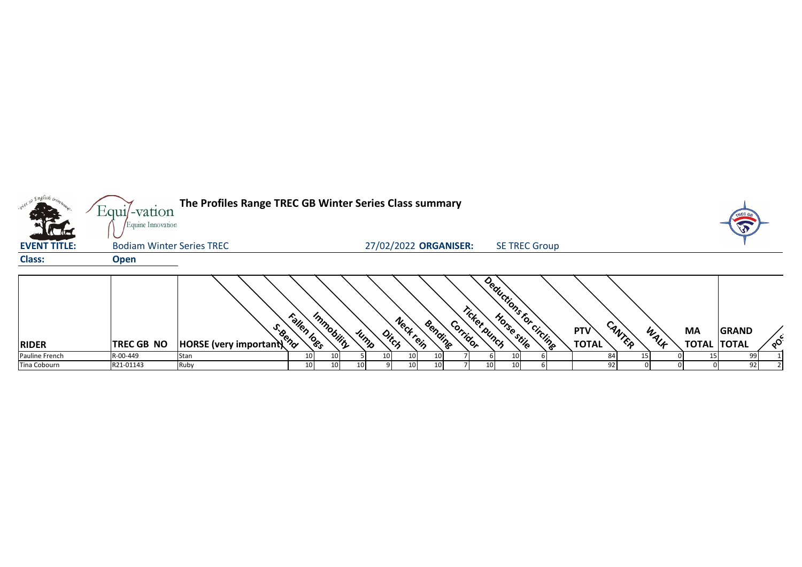|                     | Equi/-vation<br>Equine Innovation | The Profiles Range TREC GB Winter Series Class summary |                           |      |                                                                      |                                         |                                      |                                         | <b>TREC</b>          |
|---------------------|-----------------------------------|--------------------------------------------------------|---------------------------|------|----------------------------------------------------------------------|-----------------------------------------|--------------------------------------|-----------------------------------------|----------------------|
| <b>EVENT TITLE:</b> | <b>Bodiam Winter Series TREC</b>  |                                                        |                           |      | 27/02/2022 ORGANISER:                                                | <b>SE TREC Group</b>                    |                                      |                                         |                      |
| <b>Class:</b>       | <b>Open</b>                       |                                                        |                           |      |                                                                      |                                         |                                      |                                         |                      |
| <b>RIDER</b>        | TREC GB NO                        | <b>A</b><br>HORSE (very important)                     | Immobility<br>Fallen logs | Jump | Neckrein<br>Bending<br>Corridor<br>$o_{i_{\mathcal{C}_\mathcal{F}}}$ | Deductions for circling<br>ricket punch | CANTER<br><b>PTV</b><br><b>TOTAL</b> | <b>MA</b><br>WALF<br><b>TOTAL TOTAL</b> | <b>GRAND</b><br>ွင်္ |
|                     |                                   |                                                        |                           |      |                                                                      |                                         |                                      |                                         |                      |
| Pauline French      | R-00-449                          | Stan                                                   | 10                        |      |                                                                      |                                         |                                      |                                         | 99                   |
| Tina Cobourn        | R21-01143                         | Ruby                                                   | 10<br>10                  |      |                                                                      | 10<br>10                                | 92                                   |                                         | 92                   |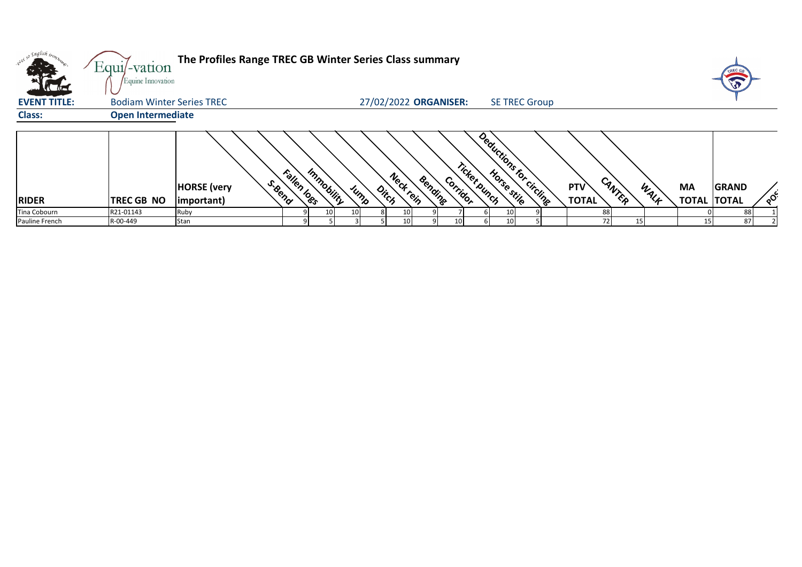| <b>ATH</b>          | Equil-vation<br>Equine Innovation | The Profiles Range TREC GB Winter Series Class summary |                           |                                                     |                       |                                         |                      |                               |      |                                 | TREC GE                         |
|---------------------|-----------------------------------|--------------------------------------------------------|---------------------------|-----------------------------------------------------|-----------------------|-----------------------------------------|----------------------|-------------------------------|------|---------------------------------|---------------------------------|
| <b>EVENT TITLE:</b> | <b>Bodiam Winter Series TREC</b>  |                                                        |                           |                                                     | 27/02/2022 ORGANISER: |                                         | <b>SE TREC Group</b> |                               |      |                                 |                                 |
| <b>Class:</b>       | <b>Open Intermediate</b>          |                                                        |                           |                                                     |                       |                                         |                      |                               |      |                                 |                                 |
| <b>RIDER</b>        | TREC GB NO                        | S. Bend<br><b>HORSE</b> (very<br>important)            | Fallen loss<br>Immobility | Neckrein<br>Jump<br>$o_{i_{\mathcal{C}_{\zeta}}^*}$ | Bending<br>Corridor   | Deductions for circuits<br>Ticket bunch |                      | CANTER<br>PTV<br><b>TOTAL</b> | WALF | <b>MA</b><br><b>TOTAL TOTAL</b> | <b>GRAND</b><br>$\circ^{\circ}$ |
| Tina Cobourn        | R21-01143                         | Ruby                                                   | 10                        | 10 <sub>1</sub><br>10                               |                       |                                         |                      | 88                            |      |                                 | 88                              |
| Pauline French      | R-00-449                          | Stan                                                   |                           | 10                                                  | 10                    |                                         |                      | <b>721</b>                    | 15   | 15                              | 87                              |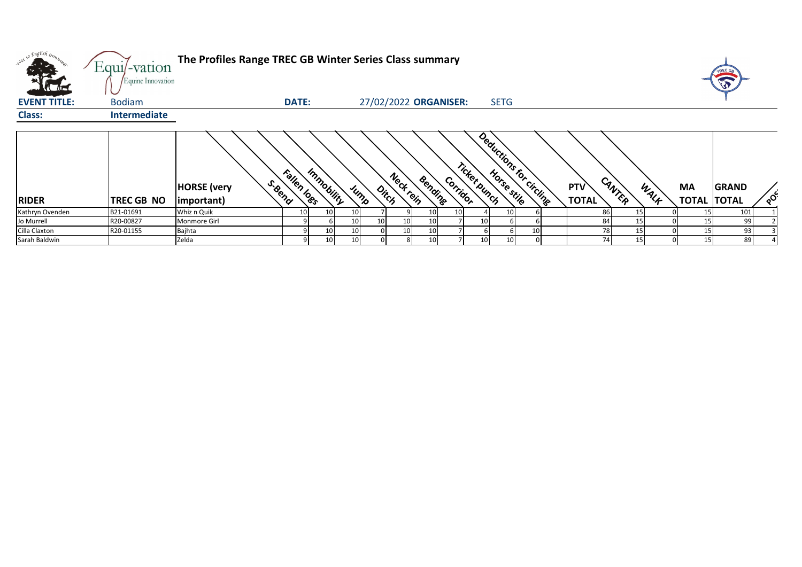| w <sup>ed 50</sup> English trong   | Equi/-vation<br>Equine Innovation | The Profiles Range TREC GB Winter Series Class summary |              |                 |                 |                 |                    |                 |                       |              |                 |                          |                     |        |      |                                 |              |          |
|------------------------------------|-----------------------------------|--------------------------------------------------------|--------------|-----------------|-----------------|-----------------|--------------------|-----------------|-----------------------|--------------|-----------------|--------------------------|---------------------|--------|------|---------------------------------|--------------|----------|
| <b>Kata</b><br><b>EVENT TITLE:</b> | <b>Bodiam</b>                     |                                                        | <b>DATE:</b> |                 |                 |                 |                    |                 | 27/02/2022 ORGANISER: |              | <b>SETG</b>     |                          |                     |        |      |                                 |              |          |
| <b>Class:</b>                      | <b>Intermediate</b>               |                                                        |              |                 |                 |                 |                    |                 |                       |              |                 |                          |                     |        |      |                                 |              |          |
| <b>RIDER</b>                       | <b>TREC GB NO</b>                 | S. Bend<br><b>HORSE</b> (very<br> important)           | Fallen logs  | Immobility      | Jump            |                 | Neck rein<br>Ditch | Bending         | Corridor              | Ticket punch |                 | Deductions for circlings | PTV<br><b>TOTAL</b> | CANTER | WALF | <b>MA</b><br><b>TOTAL TOTAL</b> | <b>GRAND</b> | $\delta$ |
| Kathryn Ovenden                    | B21-01691                         | Whiz n Quik                                            | 10           | 10              | 10 <sup>1</sup> |                 |                    | 10 <sup>1</sup> | 10 <sup>1</sup>       |              | 10 <sup>1</sup> |                          | 86                  | 15     |      | 15                              | 101          |          |
| Jo Murrell                         | R20-00827                         | Monmore Girl                                           |              |                 | 10 <sup>1</sup> | 10 <sup>1</sup> | 10 <sup>1</sup>    | 10 <sup>1</sup> |                       | 10           |                 |                          | 84                  |        |      | 15                              | 99           |          |
| Cilla Claxton                      | R20-01155                         | Bajhta                                                 |              | 10 <sub>1</sub> | 10 <sup>1</sup> |                 | 10                 | 10              |                       |              |                 |                          | 78                  |        |      | 15                              | 93           |          |
| Sarah Baldwin                      |                                   | Zelda                                                  |              | 10              | 10 <sup>1</sup> |                 |                    | 10 <sup>1</sup> |                       | 10           | 10 <sup>1</sup> |                          | 74                  |        |      | 15                              | 89           |          |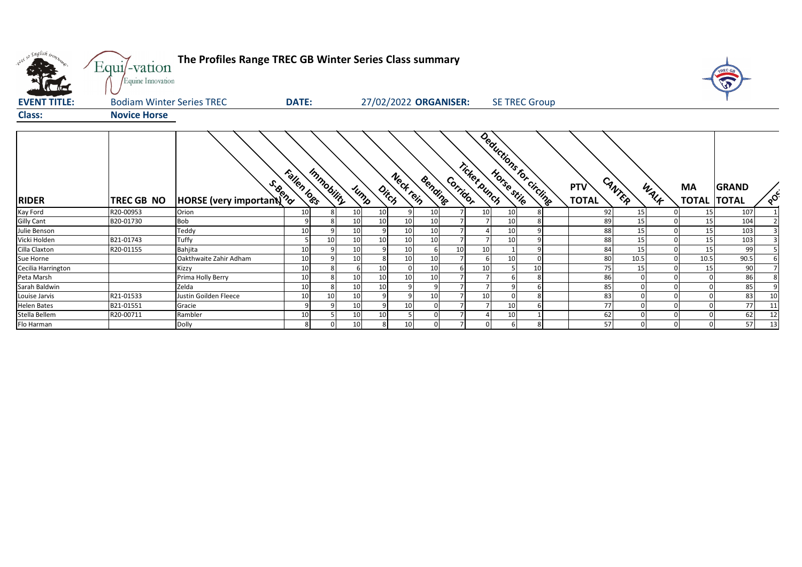| onel 50 English trong | Equi/-vation        | The Profiles Range TREC GB Winter Series Class summary<br>Equine Innovation<br>27/02/2022 ORGANISER:<br><b>DATE:</b><br><b>SE TREC Group</b><br><b>Bodiam Winter Series TREC</b> |                 |            |      |                 |                    |                  |                |              |          |                         |                            |        |          |           | REC G                              |       |
|-----------------------|---------------------|----------------------------------------------------------------------------------------------------------------------------------------------------------------------------------|-----------------|------------|------|-----------------|--------------------|------------------|----------------|--------------|----------|-------------------------|----------------------------|--------|----------|-----------|------------------------------------|-------|
| <b>EVENT TITLE:</b>   |                     |                                                                                                                                                                                  |                 |            |      |                 |                    |                  |                |              |          |                         |                            |        |          |           |                                    |       |
| <b>Class:</b>         | <b>Novice Horse</b> |                                                                                                                                                                                  |                 |            |      |                 |                    |                  |                |              |          |                         |                            |        |          |           |                                    |       |
| <b>RIDER</b>          | TREC GB NO          | <b>SALLACE (very important)</b>                                                                                                                                                  | Fallen logs     | Immobility | Jump |                 | Neck rein<br>Ditch | <b>Bending</b>   | Corridor       | Ticket bunch |          | Deductions for circline | <b>PTV</b><br><b>TOTAL</b> | CANTER | WALK     | <b>MA</b> | <b>GRAND</b><br><b>TOTAL TOTAL</b> | $8^6$ |
| Kay Ford              | R20-00953           | Orion                                                                                                                                                                            | 10              |            | 10   | 10              | 9                  | 10 <sup>1</sup>  |                | 10           | 10       |                         | 92                         | 15     |          | 15        | 107                                |       |
| <b>Gilly Cant</b>     | B20-01730           | <b>Bob</b>                                                                                                                                                                       |                 |            | 10   | 10 <sup>1</sup> | 10                 | 10               |                |              | 10       |                         | 89                         | 15     |          | 15        | 104                                |       |
| Julie Benson          |                     | Teddy                                                                                                                                                                            | 10              |            | 10   | 9               | 10                 | 10               |                |              | 10       | q                       | 88                         | 15     |          | 15        | 103                                |       |
| Vicki Holden          | B21-01743           | Tuffy                                                                                                                                                                            |                 | 10         | 10   | 10 <sup>1</sup> | 10 <sup>1</sup>    | 10               | $\overline{7}$ |              | 10       | q                       | 88                         | 15     |          | 15        | 103                                |       |
| Cilla Claxton         | R20-01155           | <b>Bahiita</b>                                                                                                                                                                   | 10              |            | 10   | q               | 10 <sup>1</sup>    | $6 \overline{6}$ | 10             | 10           |          | 9                       | 84                         | 15     |          | 15        | 99                                 |       |
| Sue Horne             |                     | Oakthwaite Zahir Adham                                                                                                                                                           | 10              |            | 10   |                 | 10                 | 10               |                |              | 10       | $\Omega$                | 80                         | 10.5   |          | 10.5      | 90.5                               |       |
| Cecilia Harrington    |                     | Kizzy                                                                                                                                                                            | 10 <sup>1</sup> |            |      | 10 <sup>1</sup> | <sup>0</sup>       | 10 <sup>1</sup>  | 6              | 10           |          | 10 <sup>1</sup>         | 75                         | 15     |          | 15        | 90                                 |       |
| Peta Marsh            |                     | Prima Holly Berry                                                                                                                                                                | 10              |            | 10   | 10 <sub>1</sub> | 10                 | 10               | $\overline{7}$ |              | 6        | 8                       | 86                         |        | U        |           | 86                                 |       |
| Sarah Baldwin         |                     | Zelda                                                                                                                                                                            | 10              |            | 10   | 10 <sub>1</sub> |                    |                  |                |              |          |                         | 85                         |        |          |           | 85                                 |       |
| Louise Jarvis         | R21-01533           | Justin Goilden Fleece                                                                                                                                                            | 10              | 10         | 10   | q               |                    | 10               | $\overline{7}$ | 10           | $\Omega$ |                         | 83                         |        |          |           | 83                                 | 10    |
| <b>Helen Bates</b>    | B21-01551           | Gracie                                                                                                                                                                           | 9               |            | 10   |                 | 10                 |                  |                |              | 10       |                         | 77                         |        |          |           | 77                                 | 11    |
| Stella Bellem         | R20-00711           | Rambler                                                                                                                                                                          | 10              |            | 10   | 10              |                    | <sup>n</sup>     |                |              | 10       |                         | 62                         |        | 0        |           | 62                                 | 12    |
| Flo Harman            |                     | Dolly                                                                                                                                                                            | 8               |            | 10   | 8               | 10 <sup>1</sup>    | $\Omega$         | $\overline{7}$ |              |          | 8                       | 57                         |        | $\Omega$ |           | 57                                 | 13    |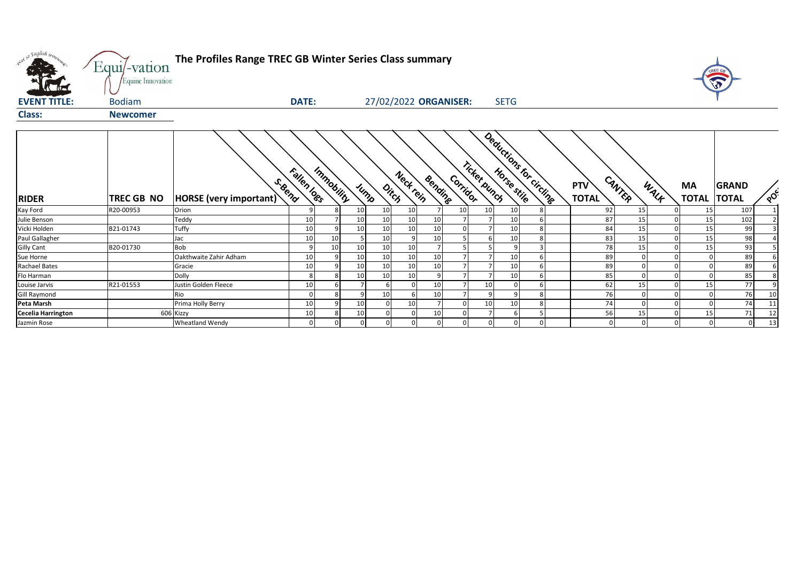| what so English trong     | Equi/-vation<br>Equine Innovation |                                  | The Profiles Range TREC GB Winter Series Class summary |                 |                       |          |          |                 |             |                          |                            |                |          |                           |                              |          |  |
|---------------------------|-----------------------------------|----------------------------------|--------------------------------------------------------|-----------------|-----------------------|----------|----------|-----------------|-------------|--------------------------|----------------------------|----------------|----------|---------------------------|------------------------------|----------|--|
| <b>EVENT TITLE:</b>       | <b>Bodiam</b>                     |                                  | <b>DATE:</b>                                           |                 | 27/02/2022 ORGANISER: |          |          |                 | <b>SETG</b> |                          |                            |                |          |                           |                              |          |  |
| <b>Class:</b>             | <b>Newcomer</b>                   |                                  |                                                        |                 |                       |          |          |                 |             |                          |                            |                |          |                           |                              |          |  |
| <b>RIDER</b>              | <b>TREC GB NO</b>                 | S.Bend<br>HORSE (very important) | Immobility<br>Fallen logs                              | Jump            | Neck tein<br>Ditch    | Bending  | Corrigor | Ticket punch    |             | Deductions for circlines | <b>PTV</b><br><b>TOTAL</b> | CANTER<br>WALK |          | <b>MA</b><br><b>TOTAL</b> | <b>GRAND</b><br><b>TOTAL</b> | $\delta$ |  |
| Kay Ford                  | R20-00953                         | Orion                            |                                                        | 10 <sup>1</sup> | 10 <sup>1</sup><br>10 |          | 10       | 10 <sup>1</sup> | 10          |                          | 92                         | 15             |          | 15 <sup>1</sup>           | 107                          |          |  |
| Julie Benson              |                                   | Teddy                            | 10 <sub>1</sub>                                        | 10 <sup>1</sup> | 10 <sup>1</sup><br>10 | 10       |          |                 | 10          |                          | 87                         | 15             |          | 15                        | 102                          |          |  |
| Vicki Holden              | B21-01743                         | Tuffy                            | 10 <sup>1</sup>                                        | 10              | 10<br>10              | 10       |          |                 | 10          |                          | 84                         | 15             | 0        | 15 <sup>1</sup>           | 99                           |          |  |
| Paul Gallagher            |                                   | Jac                              | 10<br>10 <sup>1</sup>                                  |                 | 10 <sup>°</sup>       | 10       |          |                 | 10          |                          | 83                         | 15             |          | 15                        | 98                           |          |  |
| <b>Gilly Cant</b>         | B20-01730                         | <b>Bob</b>                       | 10                                                     | 10 <sup>1</sup> | 10<br>10              |          |          |                 |             |                          | 78                         | 15             | $\Omega$ | 15                        | 93                           |          |  |
| Sue Horne                 |                                   | Oakthwaite Zahir Adham           | 10                                                     | 10 <sup>1</sup> | 10 <sup>1</sup><br>10 | 10       |          |                 | 10          |                          | 89                         |                |          |                           | 89                           |          |  |
| <b>Rachael Bates</b>      |                                   | Gracie                           | 10                                                     | 10              | 10<br>10              | 10       |          | $\overline{7}$  | 10          |                          | 89                         |                | $\Omega$ |                           | 89                           |          |  |
| Flo Harman                |                                   | Dolly                            |                                                        | 10 <sup>1</sup> | 10<br>10              |          |          |                 | 10          |                          | 85                         |                | $\Omega$ |                           | 85                           |          |  |
| Louise Jarvis             | R21-01553                         | Justin Golden Fleece             | 10                                                     |                 | 6                     | 10       |          | 10              |             |                          | 62                         | 15             | $\Omega$ | 15                        | 77                           |          |  |
| <b>Gill Raymond</b>       |                                   | Rio                              |                                                        |                 | 10 <sup>1</sup>       | 10       |          | 9               |             |                          | 76                         |                | $\Omega$ |                           | 76                           | 10       |  |
| <b>Peta Marsh</b>         |                                   | Prima Holly Berry                | 10 <sup>1</sup>                                        | 10              | 10<br>$\mathbf{0}$    |          |          | 10 <sup>1</sup> | 10          |                          | 74                         |                | $\Omega$ |                           | 74                           | 11       |  |
| <b>Cecelia Harrington</b> |                                   | 606 Kizzy                        | 10                                                     | 10 <sub>1</sub> |                       | 10       |          |                 |             |                          | 56                         | 15             | $\Omega$ | 15                        | 71                           | 12       |  |
| Jazmin Rose               |                                   | <b>Wheatland Wendy</b>           |                                                        | $\overline{0}$  | $\overline{0}$        | $\Omega$ |          | $\mathbf{0}$    |             |                          | $\mathbf{0}$               | $\overline{0}$ | $\Omega$ |                           | $\Omega$                     | 13       |  |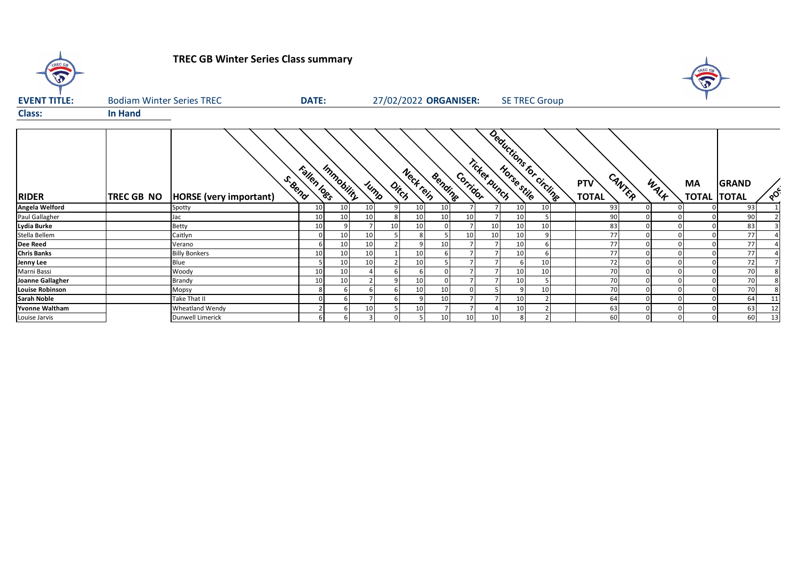

# **TREC GB Winter Series Class summary**



| <b>EVENT TITLE:</b>    | <b>Bodiam Winter Series TREC</b> | <b>DATE:</b>                             |                 |            | 27/02/2022 ORGANISER: |                 |                                       |         |          | <b>SE TREC Group</b> |                         |    |                               |                |                    |                              |          |
|------------------------|----------------------------------|------------------------------------------|-----------------|------------|-----------------------|-----------------|---------------------------------------|---------|----------|----------------------|-------------------------|----|-------------------------------|----------------|--------------------|------------------------------|----------|
| <b>Class:</b>          | In Hand                          |                                          |                 |            |                       |                 |                                       |         |          |                      |                         |    |                               |                |                    |                              |          |
| <b>RIDER</b>           | TREC GB NO                       | S. Bend<br><b>HORSE</b> (very important) | Fallen logs     | Immobility |                       | Jump            | Neck rein<br>$o_{i_{\zeta_{\zeta}} }$ | Bending | Corridor | Ticket punch         | Deductions for circling |    | CANTER<br>PTV<br><b>TOTAL</b> | WALF           | MA<br><b>TOTAL</b> | <b>GRAND</b><br><b>TOTAL</b> | $\delta$ |
| Angela Welford         |                                  | Spotty                                   | 10 <sub>1</sub> | 10         | 10                    | q               | 10                                    | 10      |          |                      | 10                      | 10 | 93                            |                |                    | 93                           |          |
| Paul Gallagher         |                                  | Jac                                      | 10              | 10         | 10                    |                 | 10                                    |         | 10       |                      | 10                      |    | 90                            |                |                    | 90                           |          |
| Lydia Burke            |                                  | <b>Betty</b>                             | 10 <sub>1</sub> |            |                       | 10 <sup>1</sup> | 10                                    |         |          | 10                   | 10                      | 10 | 83                            |                |                    | 83                           |          |
| Stella Bellem          |                                  | Caitlyn                                  |                 | 10         | 10                    |                 |                                       |         | 10       | 10                   | 10                      |    | 77                            |                |                    | 77                           |          |
| <b>Dee Reed</b>        |                                  | Verano                                   |                 | 10         | 10                    |                 | 9                                     |         |          |                      | 10                      |    | 77                            |                |                    | 77                           |          |
| <b>Chris Banks</b>     |                                  | <b>Billy Bonkers</b>                     | 10 <sub>1</sub> | 10         | 10                    |                 | 10                                    |         |          |                      | 10                      |    | 77                            |                |                    | 77                           |          |
| Jenny Lee              |                                  | Blue                                     |                 | 10         | 10                    |                 | 10                                    |         |          |                      |                         | 10 | 72                            |                |                    | 72                           |          |
| Marni Bassi            |                                  | Woody                                    | 10              | 10         |                       |                 |                                       |         |          |                      | 10                      | 10 | 70                            |                |                    | 70                           |          |
| Joanne Gallagher       |                                  | Brandy                                   | 10              | 10         |                       | q               | 10                                    |         |          |                      | 10                      |    | 70                            |                |                    | 70                           |          |
| <b>Louise Robinson</b> |                                  | Mopsy                                    |                 |            |                       |                 | 10                                    |         |          |                      |                         | 10 | 70                            |                |                    | 70                           |          |
| Sarah Noble            |                                  | Take That II                             |                 |            |                       |                 |                                       |         |          |                      | 10                      |    | 64                            |                |                    | 64                           |          |
| Yvonne Waltham         |                                  | Wheatland Wendy                          |                 |            | 10                    |                 | 10 <sup>1</sup>                       |         |          |                      | 10                      |    | 63                            |                |                    | 63                           | 12       |
| Louise Jarvis          |                                  | Dunwell Limerick                         |                 |            |                       | 0               |                                       |         | 10       | 10 <sup>1</sup>      | 8                       |    | 60                            | $\overline{0}$ |                    | 60                           | 13       |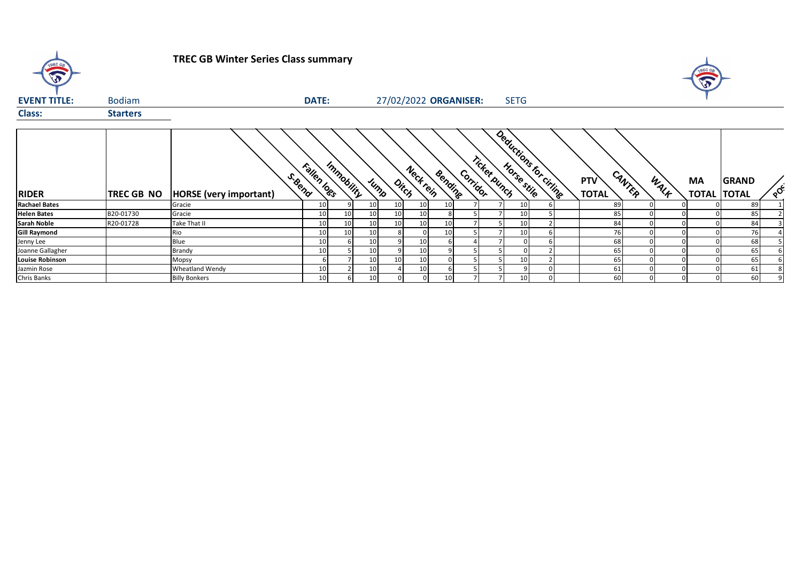

# **TREC GB Winter Series Class summary**



| <b>EVENT TITLE:</b>  | <b>Bodiam</b>     |                                          | <b>DATE:</b>    |                 |    |      |                    | 27/02/2022 ORGANISER: |          |              | <b>SETG</b>     |                       |                               |      |           |                                    |                       |
|----------------------|-------------------|------------------------------------------|-----------------|-----------------|----|------|--------------------|-----------------------|----------|--------------|-----------------|-----------------------|-------------------------------|------|-----------|------------------------------------|-----------------------|
| <b>Class:</b>        | <b>Starters</b>   |                                          |                 |                 |    |      |                    |                       |          |              |                 |                       |                               |      |           |                                    |                       |
| <b>RIDER</b>         | <b>TREC GB NO</b> | S. Bend<br><b>HORSE</b> (very important) | Fallen logs     | Immobility      |    | Jump | Neck rein<br>Ditch | Bending               | Corridor | Ticket bunch |                 | Deductions for citing | CANTER<br>PTV<br><b>TOTAL</b> | WALF | <b>MA</b> | <b>GRAND</b><br><b>TOTAL TOTAL</b> | $\circ^{\mathcal{C}}$ |
| <b>Rachael Bates</b> |                   | Gracie                                   | 10              |                 | 10 |      | 10                 | 10                    |          |              | 10 <sup>1</sup> |                       | 89                            |      |           | 89                                 |                       |
| <b>Helen Bates</b>   | B20-01730         | Gracie                                   | 10              | 10              | 10 |      | 10                 |                       |          |              | 10 <sup>1</sup> |                       | 85                            |      |           | 85                                 |                       |
| <b>Sarah Noble</b>   | R20-01728         | <b>Take That II</b>                      | 10              | 10 <sub>1</sub> | 10 |      | 10                 | 10                    |          |              | 10 <sup>1</sup> |                       | 84                            |      |           | 84                                 |                       |
| <b>Gill Raymond</b>  |                   | Rio                                      | 10              | 10              | 10 |      |                    | 10                    |          |              | 10 <sup>1</sup> |                       | 76                            |      |           | 76                                 |                       |
| Jenny Lee            |                   | Blue                                     | 10              |                 | 10 |      | 10 <sub>1</sub>    |                       |          |              |                 |                       | 68                            |      |           | 68                                 |                       |
| Joanne Gallagher     |                   | Brandy                                   | 10              |                 | 10 |      | 10                 |                       |          |              |                 |                       | 65                            |      |           | 65 l                               |                       |
| Louise Robinson      |                   | Mopsy                                    |                 |                 | 10 |      | 10                 | 0                     |          |              | 10 <sup>1</sup> |                       | 65                            |      |           | 65                                 |                       |
| Jazmin Rose          |                   | <b>Wheatland Wendy</b>                   | 10              |                 | 10 |      | 10                 |                       |          |              |                 |                       | 61                            |      |           | 61                                 |                       |
| Chris Banks          |                   | <b>Billy Bonkers</b>                     | 10 <sup>1</sup> |                 | 10 |      |                    | 10                    |          |              | 10 <sup>1</sup> |                       | 60                            |      |           | 60                                 |                       |